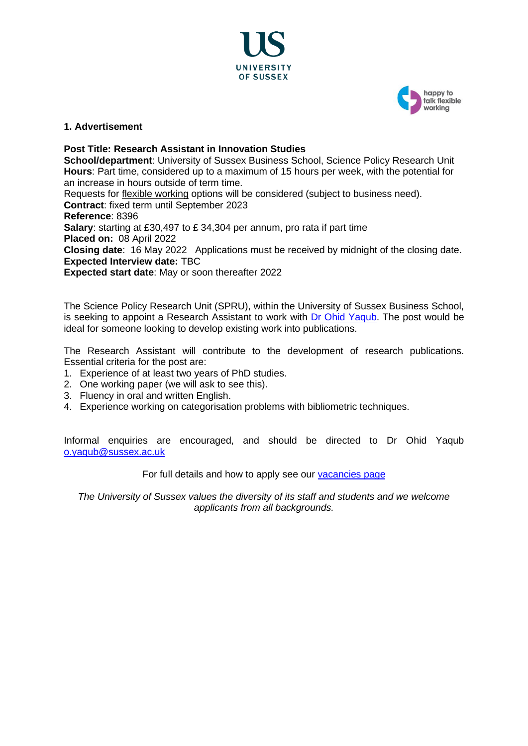



## **1. Advertisement**

**Post Title: Research Assistant in Innovation Studies School/department**: University of Sussex Business School, Science Policy Research Unit **Hours**: Part time, considered up to a maximum of 15 hours per week, with the potential for an increase in hours outside of term time. Requests for [flexible working](http://www.sussex.ac.uk/humanresources/personnel/flexible-working) options will be considered (subject to business need). **Contract**: fixed term until September 2023 **Reference**: 8396 **Salary**: starting at £30,497 to £ 34,304 per annum, pro rata if part time **Placed on:** 08 April 2022 **Closing date**: 16 May 2022 Applications must be received by midnight of the closing date. **Expected Interview date:** TBC **Expected start date**: May or soon thereafter 2022

The Science Policy Research Unit (SPRU), within the University of Sussex Business School, is seeking to appoint a Research Assistant to work with [Dr Ohid Yaqub.](http://www.sussex.ac.uk/profiles/141998) The post would be ideal for someone looking to develop existing work into publications.

The Research Assistant will contribute to the development of research publications. Essential criteria for the post are:

- 1. Experience of at least two years of PhD studies.
- 2. One working paper (we will ask to see this).
- 3. Fluency in oral and written English.
- 4. Experience working on categorisation problems with bibliometric techniques.

Informal enquiries are encouraged, and should be directed to Dr Ohid Yaqub [o.yaqub@sussex.ac.uk](mailto:o.yaqub@sussex.ac.uk)

For full details and how to apply see our [vacancies page](http://www.sussex.ac.uk/about/jobs)

*The University of Sussex values the diversity of its staff and students and we welcome applicants from all backgrounds.*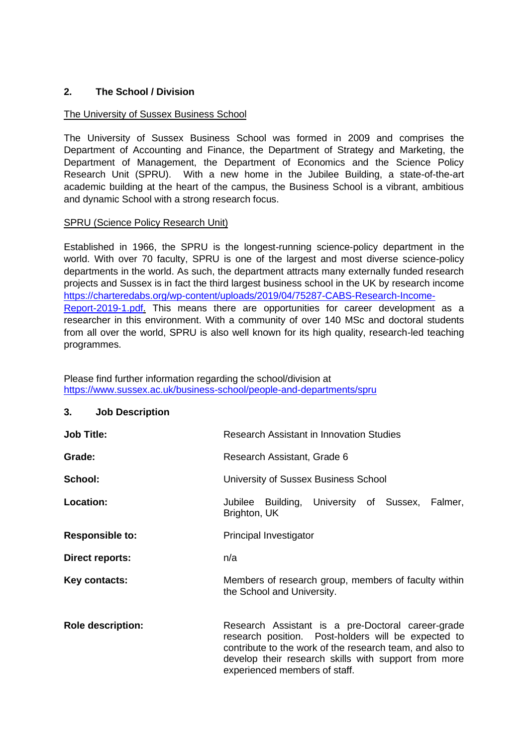## **2. The School / Division**

## The University of Sussex Business School

The University of Sussex Business School was formed in 2009 and comprises the Department of Accounting and Finance, the Department of Strategy and Marketing, the Department of Management, the Department of Economics and the Science Policy Research Unit (SPRU). With a new home in the Jubilee Building, a state-of-the-art academic building at the heart of the campus, the Business School is a vibrant, ambitious and dynamic School with a strong research focus.

#### SPRU (Science Policy Research Unit)

Established in 1966, the SPRU is the longest-running science-policy department in the world. With over 70 faculty, SPRU is one of the largest and most diverse science-policy departments in the world. As such, the department attracts many externally funded research projects and Sussex is in fact the third largest business school in the UK by research income [https://charteredabs.org/wp-content/uploads/2019/04/75287-CABS-Research-Income-](https://charteredabs.org/wp-content/uploads/2019/04/75287-CABS-Research-Income-Report-2019-1.pdf)[Report-2019-1.pdf.](https://charteredabs.org/wp-content/uploads/2019/04/75287-CABS-Research-Income-Report-2019-1.pdf) This means there are opportunities for career development as a researcher in this environment. With a community of over 140 MSc and doctoral students from all over the world, SPRU is also well known for its high quality, research-led teaching programmes.

Please find further information regarding the school/division at <https://www.sussex.ac.uk/business-school/people-and-departments/spru>

#### **3. Job Description**

| <b>Job Title:</b>        | <b>Research Assistant in Innovation Studies</b>                                                                                                                                                                                                               |
|--------------------------|---------------------------------------------------------------------------------------------------------------------------------------------------------------------------------------------------------------------------------------------------------------|
| Grade:                   | Research Assistant, Grade 6                                                                                                                                                                                                                                   |
| School:                  | University of Sussex Business School                                                                                                                                                                                                                          |
| Location:                | Jubilee Building, University of Sussex, Falmer,<br>Brighton, UK                                                                                                                                                                                               |
| <b>Responsible to:</b>   | Principal Investigator                                                                                                                                                                                                                                        |
| Direct reports:          | n/a                                                                                                                                                                                                                                                           |
| Key contacts:            | Members of research group, members of faculty within<br>the School and University.                                                                                                                                                                            |
| <b>Role description:</b> | Research Assistant is a pre-Doctoral career-grade<br>research position. Post-holders will be expected to<br>contribute to the work of the research team, and also to<br>develop their research skills with support from more<br>experienced members of staff. |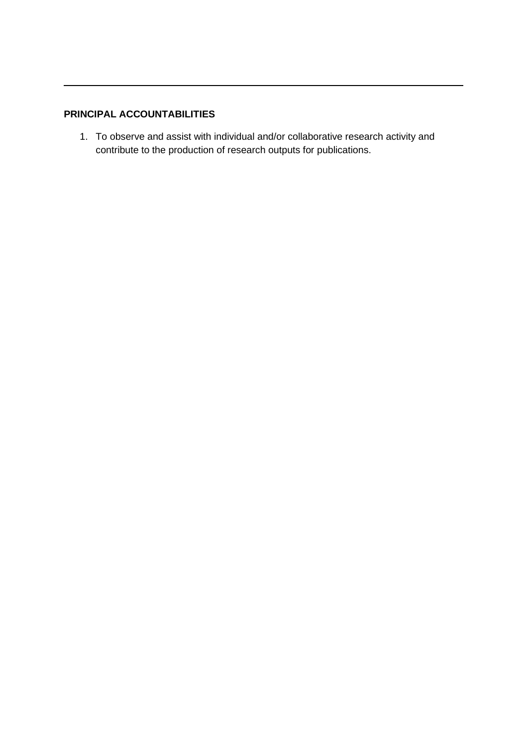# **PRINCIPAL ACCOUNTABILITIES**

1. To observe and assist with individual and/or collaborative research activity and contribute to the production of research outputs for publications.

 $\overline{\phantom{a}}$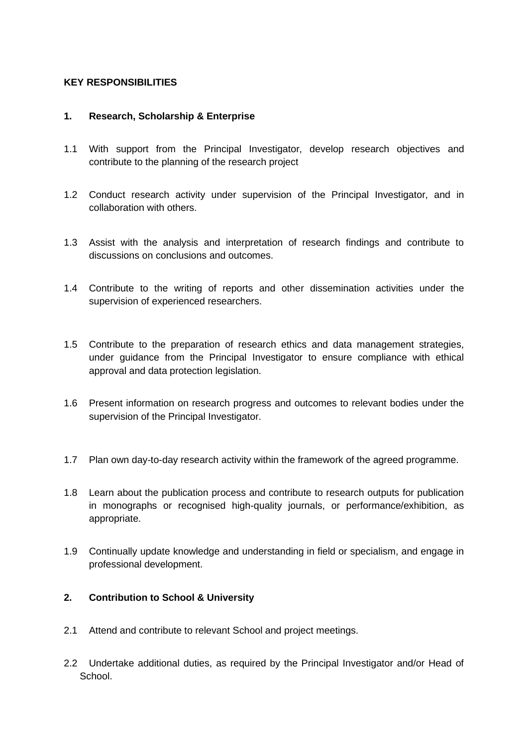## **KEY RESPONSIBILITIES**

## **1. Research, Scholarship & Enterprise**

- 1.1 With support from the Principal Investigator, develop research objectives and contribute to the planning of the research project
- 1.2 Conduct research activity under supervision of the Principal Investigator, and in collaboration with others.
- 1.3 Assist with the analysis and interpretation of research findings and contribute to discussions on conclusions and outcomes.
- 1.4 Contribute to the writing of reports and other dissemination activities under the supervision of experienced researchers.
- 1.5 Contribute to the preparation of research ethics and data management strategies, under guidance from the Principal Investigator to ensure compliance with ethical approval and data protection legislation.
- 1.6 Present information on research progress and outcomes to relevant bodies under the supervision of the Principal Investigator.
- 1.7 Plan own day-to-day research activity within the framework of the agreed programme.
- 1.8 Learn about the publication process and contribute to research outputs for publication in monographs or recognised high-quality journals, or performance/exhibition, as appropriate.
- 1.9 Continually update knowledge and understanding in field or specialism, and engage in professional development.

# **2. Contribution to School & University**

- 2.1 Attend and contribute to relevant School and project meetings.
- 2.2 Undertake additional duties, as required by the Principal Investigator and/or Head of School.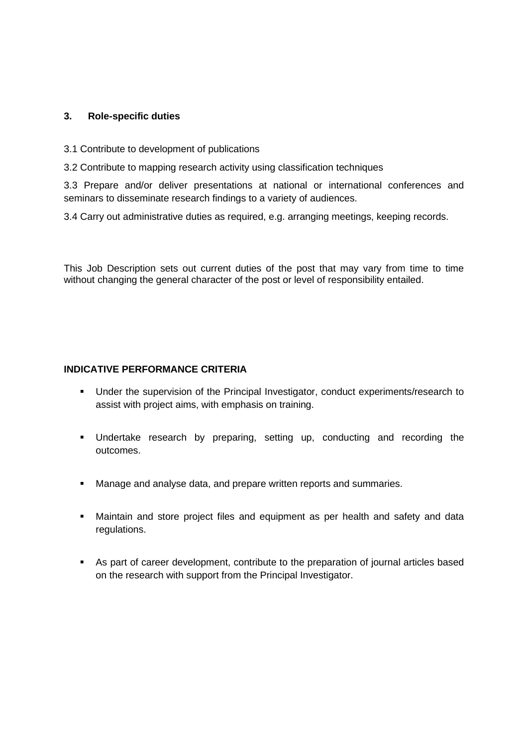## **3. Role-specific duties**

- 3.1 Contribute to development of publications
- 3.2 Contribute to mapping research activity using classification techniques

3.3 Prepare and/or deliver presentations at national or international conferences and seminars to disseminate research findings to a variety of audiences.

3.4 Carry out administrative duties as required, e.g. arranging meetings, keeping records.

This Job Description sets out current duties of the post that may vary from time to time without changing the general character of the post or level of responsibility entailed.

## **INDICATIVE PERFORMANCE CRITERIA**

- Under the supervision of the Principal Investigator, conduct experiments/research to assist with project aims, with emphasis on training.
- Undertake research by preparing, setting up, conducting and recording the outcomes.
- Manage and analyse data, and prepare written reports and summaries.
- **■** Maintain and store project files and equipment as per health and safety and data regulations.
- As part of career development, contribute to the preparation of journal articles based on the research with support from the Principal Investigator.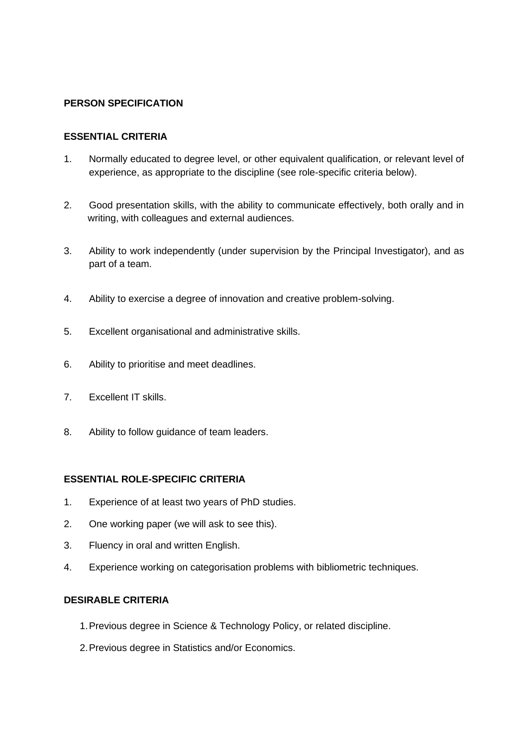## **PERSON SPECIFICATION**

## **ESSENTIAL CRITERIA**

- 1. Normally educated to degree level, or other equivalent qualification, or relevant level of experience, as appropriate to the discipline (see role-specific criteria below).
- 2. Good presentation skills, with the ability to communicate effectively, both orally and in writing, with colleagues and external audiences.
- 3. Ability to work independently (under supervision by the Principal Investigator), and as part of a team.
- 4. Ability to exercise a degree of innovation and creative problem-solving.
- 5. Excellent organisational and administrative skills.
- 6. Ability to prioritise and meet deadlines.
- 7. Excellent IT skills.
- 8. Ability to follow guidance of team leaders.

## **ESSENTIAL ROLE-SPECIFIC CRITERIA**

- 1. Experience of at least two years of PhD studies.
- 2. One working paper (we will ask to see this).
- 3. Fluency in oral and written English.
- 4. Experience working on categorisation problems with bibliometric techniques.

## **DESIRABLE CRITERIA**

- 1.Previous degree in Science & Technology Policy, or related discipline.
- 2.Previous degree in Statistics and/or Economics.